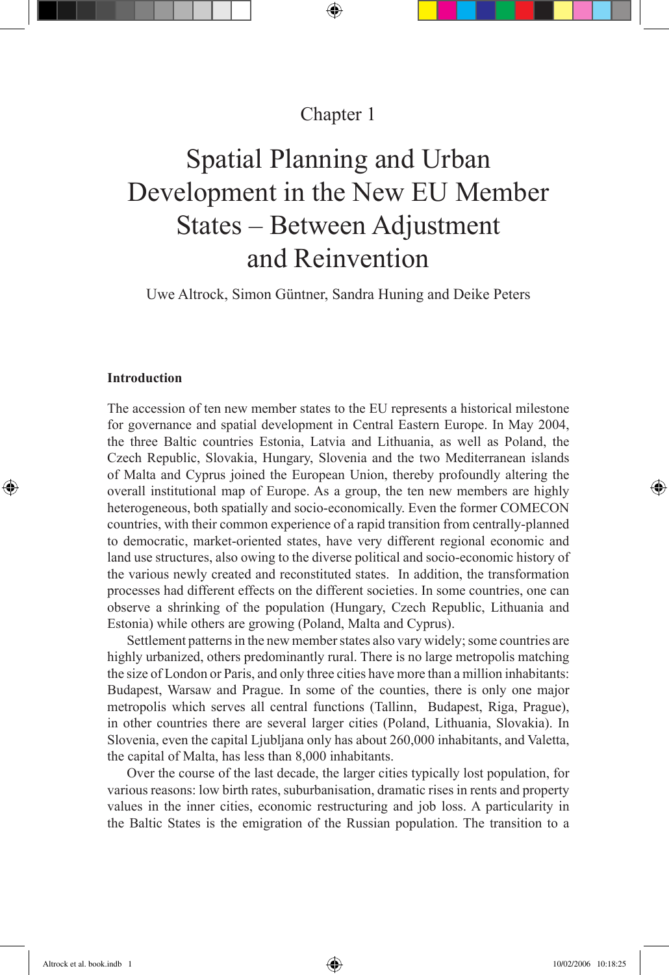## Chapter 1

# Spatial Planning and Urban Development in the New EU Member States – Between Adjustment and Reinvention

Uwe Altrock, Simon Güntner, Sandra Huning and Deike Peters

#### **Introduction**

⊕

The accession of ten new member states to the EU represents a historical milestone for governance and spatial development in Central Eastern Europe. In May 2004, the three Baltic countries Estonia, Latvia and Lithuania, as well as Poland, the Czech Republic, Slovakia, Hungary, Slovenia and the two Mediterranean islands of Malta and Cyprus joined the European Union, thereby profoundly altering the overall institutional map of Europe. As a group, the ten new members are highly heterogeneous, both spatially and socio-economically. Even the former COMECON countries, with their common experience of a rapid transition from centrally-planned to democratic, market-oriented states, have very different regional economic and land use structures, also owing to the diverse political and socio-economic history of the various newly created and reconstituted states. In addition, the transformation processes had different effects on the different societies. In some countries, one can observe a shrinking of the population (Hungary, Czech Republic, Lithuania and Estonia) while others are growing (Poland, Malta and Cyprus).

Settlement patterns in the new member states also vary widely; some countries are highly urbanized, others predominantly rural. There is no large metropolis matching the size of London or Paris, and only three cities have more than a million inhabitants: Budapest, Warsaw and Prague. In some of the counties, there is only one major metropolis which serves all central functions (Tallinn, Budapest, Riga, Prague), in other countries there are several larger cities (Poland, Lithuania, Slovakia). In Slovenia, even the capital Ljubljana only has about 260,000 inhabitants, and Valetta, the capital of Malta, has less than 8,000 inhabitants.

Over the course of the last decade, the larger cities typically lost population, for various reasons: low birth rates, suburbanisation, dramatic rises in rents and property values in the inner cities, economic restructuring and job loss. A particularity in the Baltic States is the emigration of the Russian population. The transition to a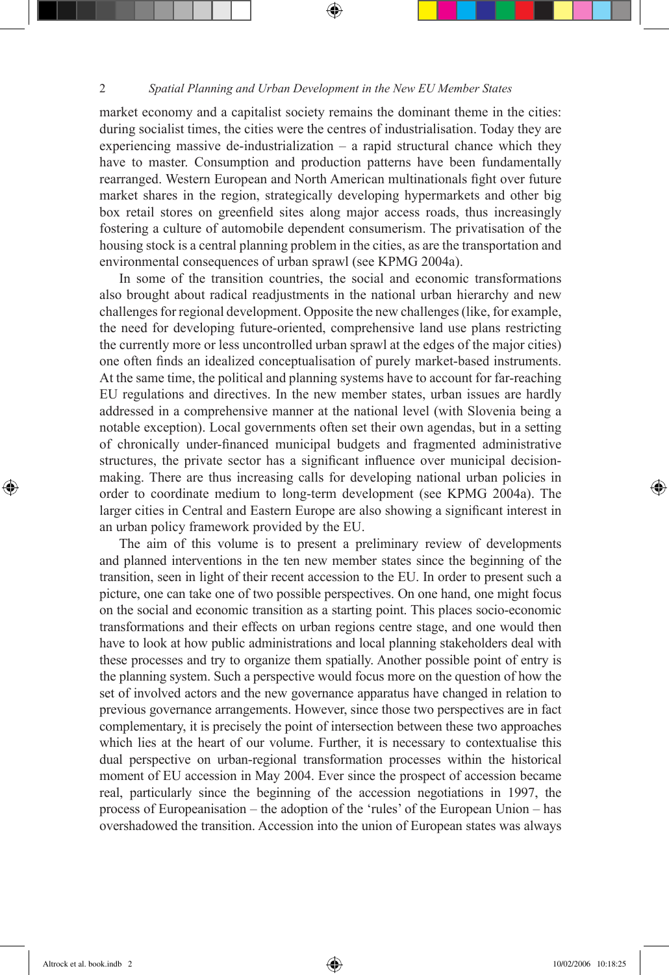market economy and a capitalist society remains the dominant theme in the cities: during socialist times, the cities were the centres of industrialisation. Today they are experiencing massive de-industrialization – a rapid structural chance which they have to master. Consumption and production patterns have been fundamentally rearranged. Western European and North American multinationals fight over future market shares in the region, strategically developing hypermarkets and other big box retail stores on greenfield sites along major access roads, thus increasingly fostering a culture of automobile dependent consumerism. The privatisation of the housing stock is a central planning problem in the cities, as are the transportation and environmental consequences of urban sprawl (see KPMG 2004a).

In some of the transition countries, the social and economic transformations also brought about radical readjustments in the national urban hierarchy and new challenges for regional development. Opposite the new challenges (like, for example, the need for developing future-oriented, comprehensive land use plans restricting the currently more or less uncontrolled urban sprawl at the edges of the major cities) one often finds an idealized conceptualisation of purely market-based instruments. At the same time, the political and planning systems have to account for far-reaching EU regulations and directives. In the new member states, urban issues are hardly addressed in a comprehensive manner at the national level (with Slovenia being a notable exception). Local governments often set their own agendas, but in a setting of chronically under-financed municipal budgets and fragmented administrative structures, the private sector has a significant influence over municipal decisionmaking. There are thus increasing calls for developing national urban policies in order to coordinate medium to long-term development (see KPMG 2004a). The larger cities in Central and Eastern Europe are also showing a significant interest in an urban policy framework provided by the EU.

The aim of this volume is to present a preliminary review of developments and planned interventions in the ten new member states since the beginning of the transition, seen in light of their recent accession to the EU. In order to present such a picture, one can take one of two possible perspectives. On one hand, one might focus on the social and economic transition as a starting point. This places socio-economic transformations and their effects on urban regions centre stage, and one would then have to look at how public administrations and local planning stakeholders deal with these processes and try to organize them spatially. Another possible point of entry is the planning system. Such a perspective would focus more on the question of how the set of involved actors and the new governance apparatus have changed in relation to previous governance arrangements. However, since those two perspectives are in fact complementary, it is precisely the point of intersection between these two approaches which lies at the heart of our volume. Further, it is necessary to contextualise this dual perspective on urban-regional transformation processes within the historical moment of EU accession in May 2004. Ever since the prospect of accession became real, particularly since the beginning of the accession negotiations in 1997, the process of Europeanisation – the adoption of the 'rules' of the European Union – has overshadowed the transition. Accession into the union of European states was always

⊕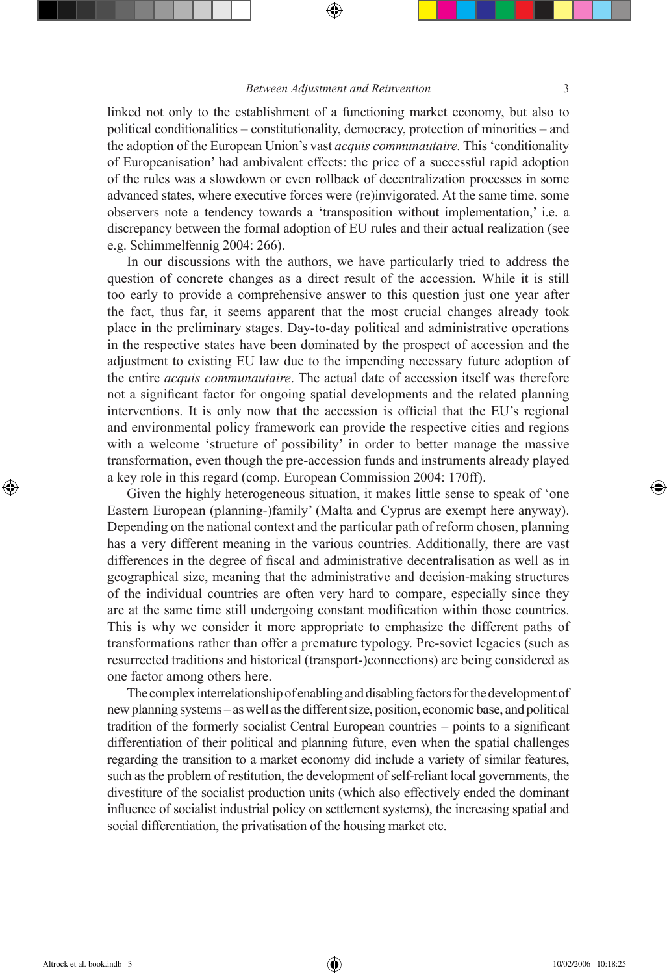linked not only to the establishment of a functioning market economy, but also to political conditionalities – constitutionality, democracy, protection of minorities – and the adoption of the European Union's vast *acquis communautaire.* This 'conditionality of Europeanisation' had ambivalent effects: the price of a successful rapid adoption of the rules was a slowdown or even rollback of decentralization processes in some advanced states, where executive forces were (re)invigorated. At the same time, some observers note a tendency towards a 'transposition without implementation,' i.e. a discrepancy between the formal adoption of EU rules and their actual realization (see e.g. Schimmelfennig 2004: 266).

In our discussions with the authors, we have particularly tried to address the question of concrete changes as a direct result of the accession. While it is still too early to provide a comprehensive answer to this question just one year after the fact, thus far, it seems apparent that the most crucial changes already took place in the preliminary stages. Day-to-day political and administrative operations in the respective states have been dominated by the prospect of accession and the adjustment to existing EU law due to the impending necessary future adoption of the entire *acquis communautaire*. The actual date of accession itself was therefore not a significant factor for ongoing spatial developments and the related planning interventions. It is only now that the accession is official that the EU's regional and environmental policy framework can provide the respective cities and regions with a welcome 'structure of possibility' in order to better manage the massive transformation, even though the pre-accession funds and instruments already played a key role in this regard (comp. European Commission 2004: 170ff).

Given the highly heterogeneous situation, it makes little sense to speak of 'one Eastern European (planning-)family' (Malta and Cyprus are exempt here anyway). Depending on the national context and the particular path of reform chosen, planning has a very different meaning in the various countries. Additionally, there are vast differences in the degree of fiscal and administrative decentralisation as well as in geographical size, meaning that the administrative and decision-making structures of the individual countries are often very hard to compare, especially since they are at the same time still undergoing constant modification within those countries. This is why we consider it more appropriate to emphasize the different paths of transformations rather than offer a premature typology. Pre-soviet legacies (such as resurrected traditions and historical (transport-)connections) are being considered as one factor among others here.

The complex interrelationship of enabling and disabling factors for the development of new planning systems – as well as the different size, position, economic base, and political tradition of the formerly socialist Central European countries – points to a significant differentiation of their political and planning future, even when the spatial challenges regarding the transition to a market economy did include a variety of similar features, such as the problem of restitution, the development of self-reliant local governments, the divestiture of the socialist production units (which also effectively ended the dominant influence of socialist industrial policy on settlement systems), the increasing spatial and social differentiation, the privatisation of the housing market etc.

⊕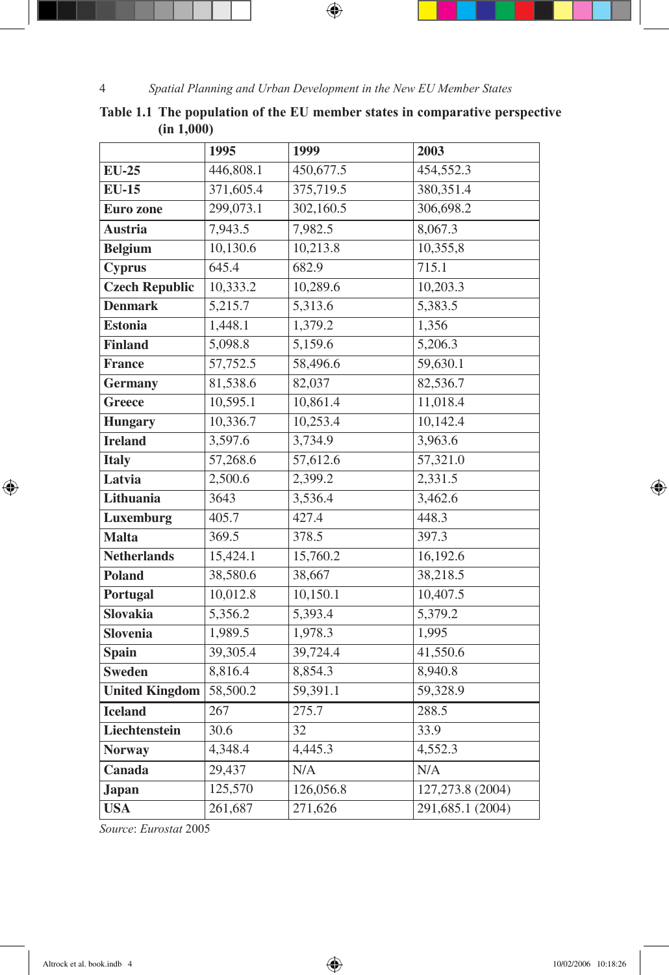|                       | 1995                 | 1999            | 2003                  |
|-----------------------|----------------------|-----------------|-----------------------|
| $EU-25$               | 446,808.1            | 450,677.5       | 454,552.3             |
| <b>EU-15</b>          | 371,605.4            | 375,719.5       | 380, 351. 4           |
| Euro zone             | 299,073.1            | 302,160.5       | 306,698.2             |
| <b>Austria</b>        | 7,943.5              | 7,982.5         | 8,067.3               |
| <b>Belgium</b>        | 10,130.6             | 10,213.8        | 10,355,8              |
| <b>Cyprus</b>         | 645.4                | 682.9           | 715.1                 |
| <b>Czech Republic</b> | 10,333.2             | 10,289.6        | 10,203.3              |
| <b>Denmark</b>        | 5,215.7              | 5,313.6         | 5,383.5               |
| <b>Estonia</b>        | 1,448.1              | 1,379.2         | 1,356                 |
| <b>Finland</b>        | 5,098.8              | 5,159.6         | 5,206.3               |
| <b>France</b>         | 57,752.5             | 58,496.6        | 59,630.1              |
| <b>Germany</b>        | 81,538.6             | 82,037          | 82,536.7              |
| Greece                | 10,595.1             | 10,861.4        | 11,018.4              |
| <b>Hungary</b>        | 10,336.7             | 10,253.4        | 10,142.4              |
| <b>Ireland</b>        | 3,597.6              | 3,734.9         | 3,963.6               |
| <b>Italy</b>          | 57,268.6             | 57,612.6        | $\overline{57,321.0}$ |
| Latvia                | 2,500.6              | 2,399.2         | 2,331.5               |
| Lithuania             | 3643                 | 3,536.4         | 3,462.6               |
| Luxemburg             | 405.7                | 427.4           | 448.3                 |
| <b>Malta</b>          | 369.5                | 378.5           | 397.3                 |
| <b>Netherlands</b>    | 15,424.1             | 15,760.2        | 16,192.6              |
| <b>Poland</b>         | 38,580.6             | 38,667          | 38,218.5              |
| Portugal              | 10,012.8             | 10,150.1        | 10,407.5              |
| <b>Slovakia</b>       | $\overline{5,356.2}$ | 5,393.4         | $\overline{5,379.2}$  |
| <b>Slovenia</b>       | 1,989.5              | 1,978.3         | 1,995                 |
| <b>Spain</b>          | 39,305.4             | 39,724.4        | 41,550.6              |
| <b>Sweden</b>         | 8,816.4              | 8,854.3         | 8,940.8               |
| <b>United Kingdom</b> | 58,500.2             | 59,391.1        | 59,328.9              |
| <b>Iceland</b>        | $\overline{267}$     | 275.7           | 288.5                 |
| Liechtenstein         | 30.6                 | $\overline{32}$ | 33.9                  |
| <b>Norway</b>         | 4,348.4              | 4,445.3         | 4,552.3               |
| Canada                | 29,437               | N/A             | N/A                   |
| <b>Japan</b>          | 125,570              | 126,056.8       | 127,273.8 (2004)      |
| <b>USA</b>            | 261,687              | 271,626         | 291,685.1 (2004)      |

**Table 1.1 The population of the EU member states in comparative perspective (in 1,000)**

 $\bigoplus$ 

*Source*: *Eurostat* 2005

 $\overline{4}$ 

 $\bigoplus$ 

 $\bigoplus$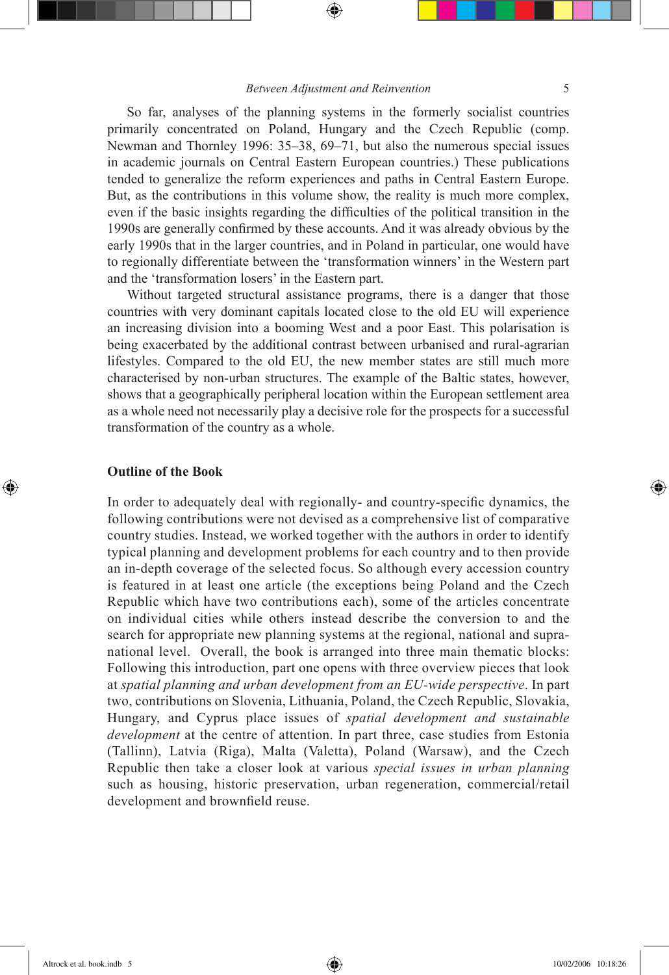So far, analyses of the planning systems in the formerly socialist countries primarily concentrated on Poland, Hungary and the Czech Republic (comp. Newman and Thornley 1996: 35–38, 69–71, but also the numerous special issues in academic journals on Central Eastern European countries.) These publications tended to generalize the reform experiences and paths in Central Eastern Europe. But, as the contributions in this volume show, the reality is much more complex, even if the basic insights regarding the difficulties of the political transition in the 1990s are generally confirmed by these accounts. And it was already obvious by the early 1990s that in the larger countries, and in Poland in particular, one would have to regionally differentiate between the 'transformation winners' in the Western part and the 'transformation losers' in the Eastern part.

Without targeted structural assistance programs, there is a danger that those countries with very dominant capitals located close to the old EU will experience an increasing division into a booming West and a poor East. This polarisation is being exacerbated by the additional contrast between urbanised and rural-agrarian lifestyles. Compared to the old EU, the new member states are still much more characterised by non-urban structures. The example of the Baltic states, however, shows that a geographically peripheral location within the European settlement area as a whole need not necessarily play a decisive role for the prospects for a successful transformation of the country as a whole.

#### **Outline of the Book**

⊕

In order to adequately deal with regionally- and country-specific dynamics, the following contributions were not devised as a comprehensive list of comparative country studies. Instead, we worked together with the authors in order to identify typical planning and development problems for each country and to then provide an in-depth coverage of the selected focus. So although every accession country is featured in at least one article (the exceptions being Poland and the Czech Republic which have two contributions each), some of the articles concentrate on individual cities while others instead describe the conversion to and the search for appropriate new planning systems at the regional, national and supranational level. Overall, the book is arranged into three main thematic blocks: Following this introduction, part one opens with three overview pieces that look at *spatial planning and urban development from an EU-wide perspective*. In part two, contributions on Slovenia, Lithuania, Poland, the Czech Republic, Slovakia, Hungary, and Cyprus place issues of *spatial development and sustainable development* at the centre of attention. In part three, case studies from Estonia (Tallinn), Latvia (Riga), Malta (Valetta), Poland (Warsaw), and the Czech Republic then take a closer look at various *special issues in urban planning*  such as housing, historic preservation, urban regeneration, commercial/retail development and brownfield reuse.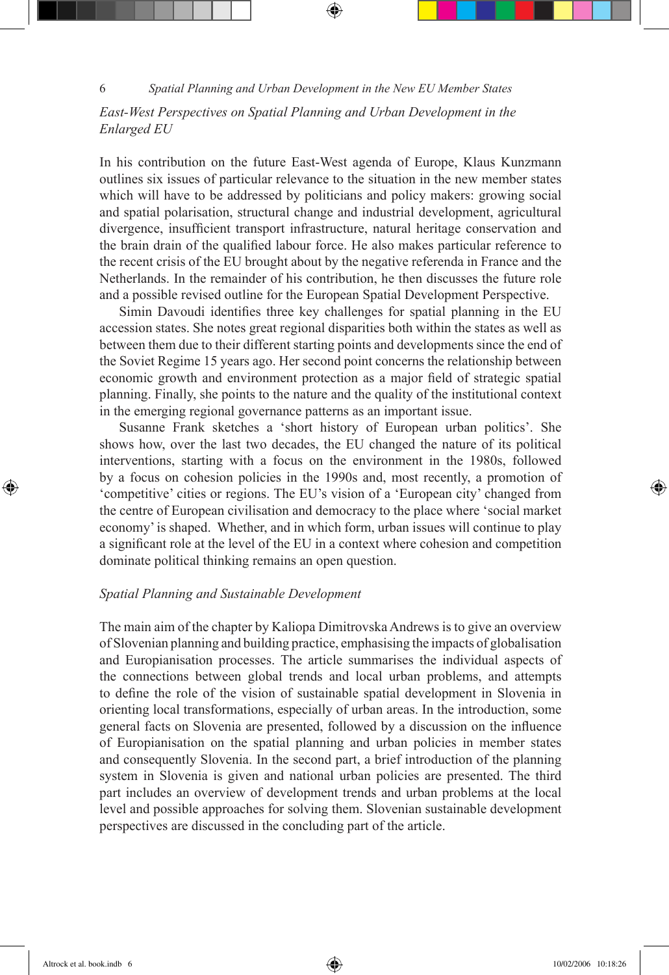6 *Spatial Planning and Urban Development in the New EU Member States East-West Perspectives on Spatial Planning and Urban Development in the Enlarged EU*

In his contribution on the future East-West agenda of Europe, Klaus Kunzmann outlines six issues of particular relevance to the situation in the new member states which will have to be addressed by politicians and policy makers: growing social and spatial polarisation, structural change and industrial development, agricultural divergence, insufficient transport infrastructure, natural heritage conservation and the brain drain of the qualified labour force. He also makes particular reference to the recent crisis of the EU brought about by the negative referenda in France and the Netherlands. In the remainder of his contribution, he then discusses the future role and a possible revised outline for the European Spatial Development Perspective.

Simin Davoudi identifies three key challenges for spatial planning in the EU accession states. She notes great regional disparities both within the states as well as between them due to their different starting points and developments since the end of the Soviet Regime 15 years ago. Her second point concerns the relationship between economic growth and environment protection as a major field of strategic spatial planning. Finally, she points to the nature and the quality of the institutional context in the emerging regional governance patterns as an important issue.

Susanne Frank sketches a 'short history of European urban politics'. She shows how, over the last two decades, the EU changed the nature of its political interventions, starting with a focus on the environment in the 1980s, followed by a focus on cohesion policies in the 1990s and, most recently, a promotion of 'competitive' cities or regions. The EU's vision of a 'European city' changed from the centre of European civilisation and democracy to the place where 'social market economy' is shaped. Whether, and in which form, urban issues will continue to play a significant role at the level of the EU in a context where cohesion and competition dominate political thinking remains an open question.

#### *Spatial Planning and Sustainable Development*

The main aim of the chapter by Kaliopa Dimitrovska Andrews is to give an overview of Slovenian planning and building practice, emphasising the impacts of globalisation and Europianisation processes. The article summarises the individual aspects of the connections between global trends and local urban problems, and attempts to define the role of the vision of sustainable spatial development in Slovenia in orienting local transformations, especially of urban areas. In the introduction, some general facts on Slovenia are presented, followed by a discussion on the influence of Europianisation on the spatial planning and urban policies in member states and consequently Slovenia. In the second part, a brief introduction of the planning system in Slovenia is given and national urban policies are presented. The third part includes an overview of development trends and urban problems at the local level and possible approaches for solving them. Slovenian sustainable development perspectives are discussed in the concluding part of the article.

⊕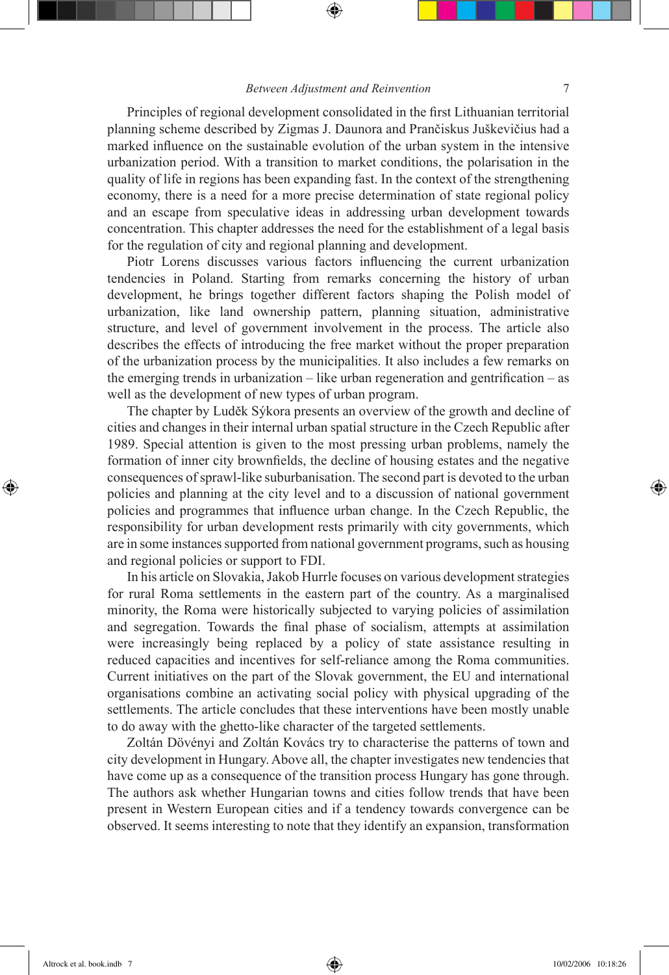Principles of regional development consolidated in the first Lithuanian territorial planning scheme described by Zigmas J. Daunora and Prančiskus Juškevičius had a marked influence on the sustainable evolution of the urban system in the intensive urbanization period. With a transition to market conditions, the polarisation in the quality of life in regions has been expanding fast. In the context of the strengthening economy, there is a need for a more precise determination of state regional policy and an escape from speculative ideas in addressing urban development towards concentration. This chapter addresses the need for the establishment of a legal basis for the regulation of city and regional planning and development.

Piotr Lorens discusses various factors influencing the current urbanization tendencies in Poland. Starting from remarks concerning the history of urban development, he brings together different factors shaping the Polish model of urbanization, like land ownership pattern, planning situation, administrative structure, and level of government involvement in the process. The article also describes the effects of introducing the free market without the proper preparation of the urbanization process by the municipalities. It also includes a few remarks on the emerging trends in urbanization – like urban regeneration and gentrification – as well as the development of new types of urban program.

The chapter by Luděk Sýkora presents an overview of the growth and decline of cities and changes in their internal urban spatial structure in the Czech Republic after 1989. Special attention is given to the most pressing urban problems, namely the formation of inner city brownfields, the decline of housing estates and the negative consequences of sprawl-like suburbanisation. The second part is devoted to the urban policies and planning at the city level and to a discussion of national government policies and programmes that influence urban change. In the Czech Republic, the responsibility for urban development rests primarily with city governments, which are in some instances supported from national government programs, such as housing and regional policies or support to FDI.

In his article on Slovakia, Jakob Hurrle focuses on various development strategies for rural Roma settlements in the eastern part of the country. As a marginalised minority, the Roma were historically subjected to varying policies of assimilation and segregation. Towards the final phase of socialism, attempts at assimilation were increasingly being replaced by a policy of state assistance resulting in reduced capacities and incentives for self-reliance among the Roma communities. Current initiatives on the part of the Slovak government, the EU and international organisations combine an activating social policy with physical upgrading of the settlements. The article concludes that these interventions have been mostly unable to do away with the ghetto-like character of the targeted settlements.

Zoltán Dövényi and Zoltán Kovács try to characterise the patterns of town and city development in Hungary. Above all, the chapter investigates new tendencies that have come up as a consequence of the transition process Hungary has gone through. The authors ask whether Hungarian towns and cities follow trends that have been present in Western European cities and if a tendency towards convergence can be observed. It seems interesting to note that they identify an expansion, transformation

 $\overline{7}$ 

⊕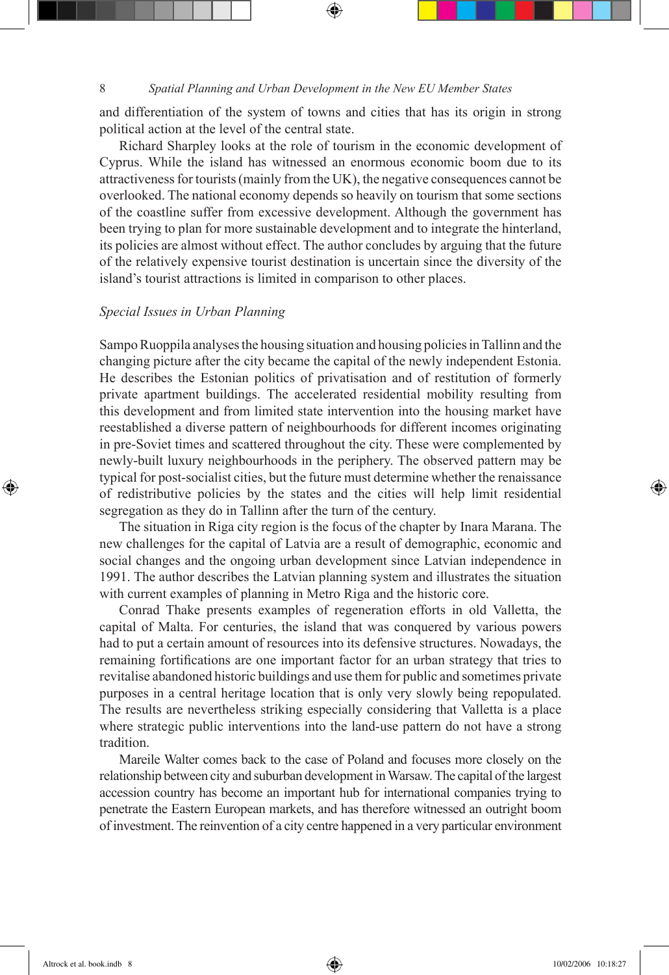and differentiation of the system of towns and cities that has its origin in strong political action at the level of the central state.

Richard Sharpley looks at the role of tourism in the economic development of Cyprus. While the island has witnessed an enormous economic boom due to its attractiveness for tourists (mainly from the UK), the negative consequences cannot be overlooked. The national economy depends so heavily on tourism that some sections of the coastline suffer from excessive development. Although the government has been trying to plan for more sustainable development and to integrate the hinterland, its policies are almost without effect. The author concludes by arguing that the future of the relatively expensive tourist destination is uncertain since the diversity of the island's tourist attractions is limited in comparison to other places.

## *Special Issues in Urban Planning*

Sampo Ruoppila analyses the housing situation and housing policies in Tallinn and the changing picture after the city became the capital of the newly independent Estonia. He describes the Estonian politics of privatisation and of restitution of formerly private apartment buildings. The accelerated residential mobility resulting from this development and from limited state intervention into the housing market have reestablished a diverse pattern of neighbourhoods for different incomes originating in pre-Soviet times and scattered throughout the city. These were complemented by newly-built luxury neighbourhoods in the periphery. The observed pattern may be typical for post-socialist cities, but the future must determine whether the renaissance of redistributive policies by the states and the cities will help limit residential segregation as they do in Tallinn after the turn of the century.

The situation in Riga city region is the focus of the chapter by Inara Marana. The new challenges for the capital of Latvia are a result of demographic, economic and social changes and the ongoing urban development since Latvian independence in 1991. The author describes the Latvian planning system and illustrates the situation with current examples of planning in Metro Riga and the historic core.

Conrad Thake presents examples of regeneration efforts in old Valletta, the capital of Malta. For centuries, the island that was conquered by various powers had to put a certain amount of resources into its defensive structures. Nowadays, the remaining fortifications are one important factor for an urban strategy that tries to revitalise abandoned historic buildings and use them for public and sometimes private purposes in a central heritage location that is only very slowly being repopulated. The results are nevertheless striking especially considering that Valletta is a place where strategic public interventions into the land-use pattern do not have a strong tradition.

Mareile Walter comes back to the case of Poland and focuses more closely on the relationship between city and suburban development in Warsaw. The capital of the largest accession country has become an important hub for international companies trying to penetrate the Eastern European markets, and has therefore witnessed an outright boom of investment. The reinvention of a city centre happened in a very particular environment

⊕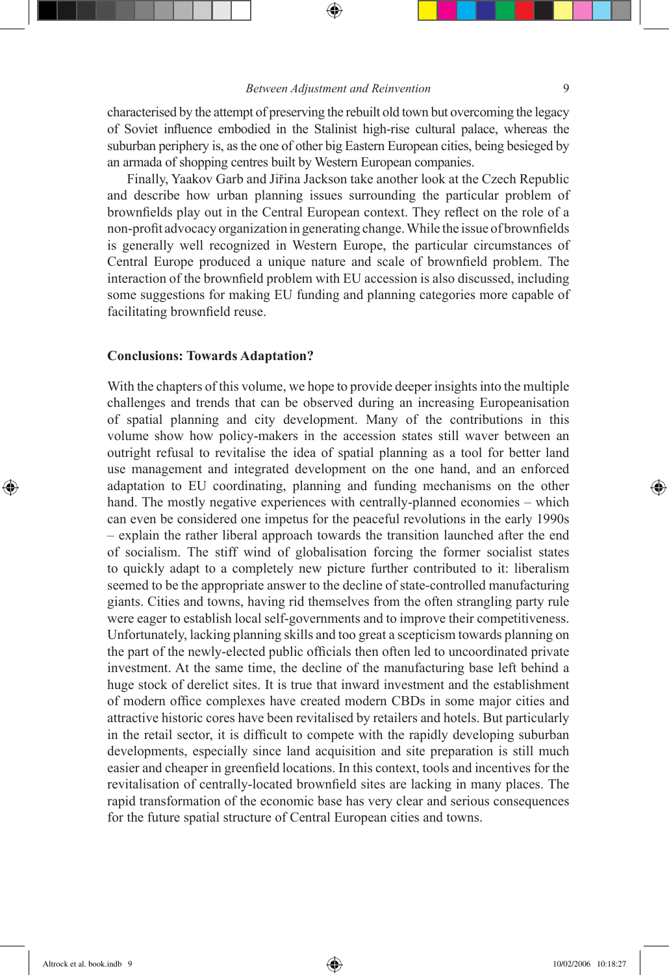characterised by the attempt of preserving the rebuilt old town but overcoming the legacy of Soviet influence embodied in the Stalinist high-rise cultural palace, whereas the suburban periphery is, as the one of other big Eastern European cities, being besieged by an armada of shopping centres built by Western European companies.

Finally, Yaakov Garb and Jiřina Jackson take another look at the Czech Republic and describe how urban planning issues surrounding the particular problem of brownfields play out in the Central European context. They reflect on the role of a non-profit advocacy organization in generating change. While the issue of brownfields is generally well recognized in Western Europe, the particular circumstances of Central Europe produced a unique nature and scale of brownfield problem. The interaction of the brownfield problem with EU accession is also discussed, including some suggestions for making EU funding and planning categories more capable of facilitating brownfield reuse.

#### **Conclusions: Towards Adaptation?**

With the chapters of this volume, we hope to provide deeper insights into the multiple challenges and trends that can be observed during an increasing Europeanisation of spatial planning and city development. Many of the contributions in this volume show how policy-makers in the accession states still waver between an outright refusal to revitalise the idea of spatial planning as a tool for better land use management and integrated development on the one hand, and an enforced adaptation to EU coordinating, planning and funding mechanisms on the other hand. The mostly negative experiences with centrally-planned economies – which can even be considered one impetus for the peaceful revolutions in the early 1990s – explain the rather liberal approach towards the transition launched after the end of socialism. The stiff wind of globalisation forcing the former socialist states to quickly adapt to a completely new picture further contributed to it: liberalism seemed to be the appropriate answer to the decline of state-controlled manufacturing giants. Cities and towns, having rid themselves from the often strangling party rule were eager to establish local self-governments and to improve their competitiveness. Unfortunately, lacking planning skills and too great a scepticism towards planning on the part of the newly-elected public officials then often led to uncoordinated private investment. At the same time, the decline of the manufacturing base left behind a huge stock of derelict sites. It is true that inward investment and the establishment of modern office complexes have created modern CBDs in some major cities and attractive historic cores have been revitalised by retailers and hotels. But particularly in the retail sector, it is difficult to compete with the rapidly developing suburban developments, especially since land acquisition and site preparation is still much easier and cheaper in greenfield locations. In this context, tools and incentives for the revitalisation of centrally-located brownfield sites are lacking in many places. The rapid transformation of the economic base has very clear and serious consequences for the future spatial structure of Central European cities and towns.

⊕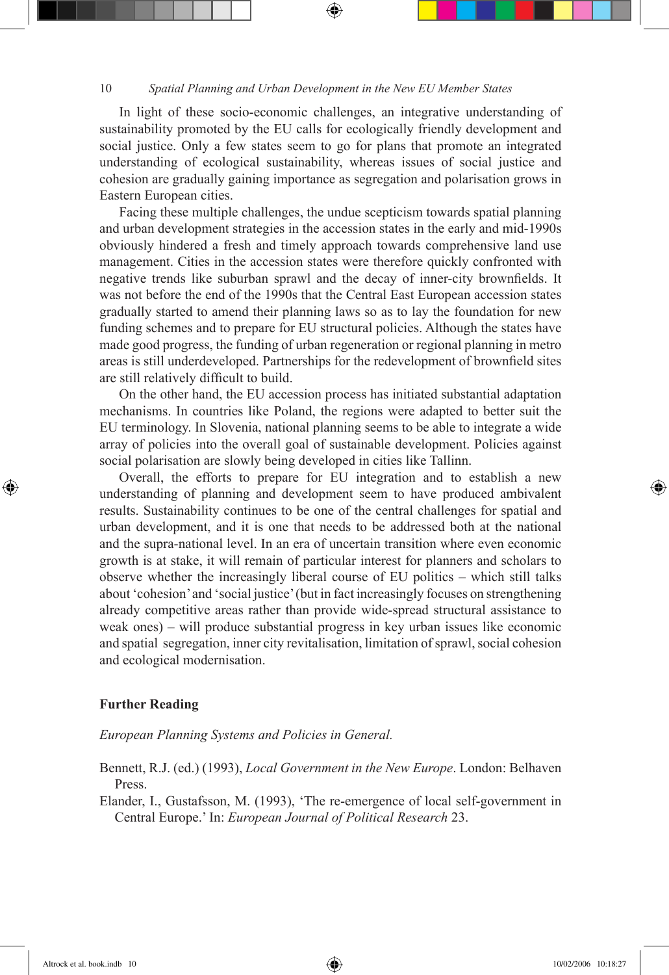In light of these socio-economic challenges, an integrative understanding of sustainability promoted by the EU calls for ecologically friendly development and social justice. Only a few states seem to go for plans that promote an integrated understanding of ecological sustainability, whereas issues of social justice and cohesion are gradually gaining importance as segregation and polarisation grows in Eastern European cities.

Facing these multiple challenges, the undue scepticism towards spatial planning and urban development strategies in the accession states in the early and mid-1990s obviously hindered a fresh and timely approach towards comprehensive land use management. Cities in the accession states were therefore quickly confronted with negative trends like suburban sprawl and the decay of inner-city brownfields. It was not before the end of the 1990s that the Central East European accession states gradually started to amend their planning laws so as to lay the foundation for new funding schemes and to prepare for EU structural policies. Although the states have made good progress, the funding of urban regeneration or regional planning in metro areas is still underdeveloped. Partnerships for the redevelopment of brownfield sites are still relatively difficult to build.

On the other hand, the EU accession process has initiated substantial adaptation mechanisms. In countries like Poland, the regions were adapted to better suit the EU terminology. In Slovenia, national planning seems to be able to integrate a wide array of policies into the overall goal of sustainable development. Policies against social polarisation are slowly being developed in cities like Tallinn.

Overall, the efforts to prepare for EU integration and to establish a new understanding of planning and development seem to have produced ambivalent results. Sustainability continues to be one of the central challenges for spatial and urban development, and it is one that needs to be addressed both at the national and the supra-national level. In an era of uncertain transition where even economic growth is at stake, it will remain of particular interest for planners and scholars to observe whether the increasingly liberal course of EU politics – which still talks about 'cohesion' and 'social justice' (but in fact increasingly focuses on strengthening already competitive areas rather than provide wide-spread structural assistance to weak ones) – will produce substantial progress in key urban issues like economic and spatial segregation, inner city revitalisation, limitation of sprawl, social cohesion and ecological modernisation.

#### **Further Reading**

*European Planning Systems and Policies in General.*

Bennett, R.J. (ed.) (1993), *Local Government in the New Europe*. London: Belhaven Press.

Elander, I., Gustafsson, M. (1993), 'The re-emergence of local self-government in Central Europe.' In: *European Journal of Political Research* 23.

⊕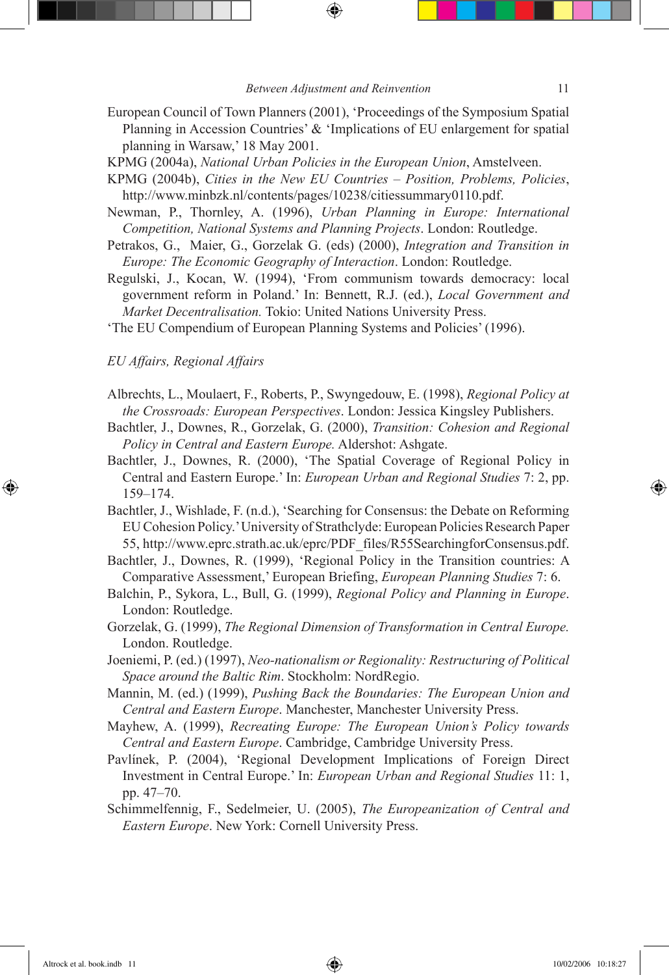- European Council of Town Planners (2001), 'Proceedings of the Symposium Spatial Planning in Accession Countries' & 'Implications of EU enlargement for spatial planning in Warsaw,' 18 May 2001.
- KPMG (2004a), *National Urban Policies in the European Union*, Amstelveen.
- KPMG (2004b), *Cities in the New EU Countries Position, Problems, Policies*, http://www.minbzk.nl/contents/pages/10238/citiessummary0110.pdf.
- Newman, P., Thornley, A. (1996), *Urban Planning in Europe: International Competition, National Systems and Planning Projects*. London: Routledge.
- Petrakos, G., Maier, G., Gorzelak G. (eds) (2000), *Integration and Transition in Europe: The Economic Geography of Interaction*. London: Routledge.
- Regulski, J., Kocan, W. (1994), 'From communism towards democracy: local government reform in Poland.' In: Bennett, R.J. (ed.), *Local Government and Market Decentralisation.* Tokio: United Nations University Press.
- 'The EU Compendium of European Planning Systems and Policies' (1996).

#### *EU Affairs, Regional Affairs*

- Albrechts, L., Moulaert, F., Roberts, P., Swyngedouw, E. (1998), *Regional Policy at the Crossroads: European Perspectives*. London: Jessica Kingsley Publishers.
- Bachtler, J., Downes, R., Gorzelak, G. (2000), *Transition: Cohesion and Regional Policy in Central and Eastern Europe.* Aldershot: Ashgate.
- Bachtler, J., Downes, R. (2000), 'The Spatial Coverage of Regional Policy in Central and Eastern Europe.' In: *European Urban and Regional Studies* 7: 2, pp. 159–174.
- Bachtler, J., Wishlade, F. (n.d.), 'Searching for Consensus: the Debate on Reforming EU Cohesion Policy.' University of Strathclyde: European Policies Research Paper 55, http://www.eprc.strath.ac.uk/eprc/PDF\_files/R55SearchingforConsensus.pdf.
- Bachtler, J., Downes, R. (1999), 'Regional Policy in the Transition countries: A Comparative Assessment,' European Briefing, *European Planning Studies* 7: 6.
- Balchin, P., Sykora, L., Bull, G. (1999), *Regional Policy and Planning in Europe*. London: Routledge.
- Gorzelak, G. (1999), *The Regional Dimension of Transformation in Central Europe.*  London. Routledge.
- Joeniemi, P. (ed.) (1997), *Neo-nationalism or Regionality: Restructuring of Political Space around the Baltic Rim*. Stockholm: NordRegio.
- Mannin, M. (ed.) (1999), *Pushing Back the Boundaries: The European Union and Central and Eastern Europe*. Manchester, Manchester University Press.
- Mayhew, A. (1999), *Recreating Europe: The European Union's Policy towards Central and Eastern Europe*. Cambridge, Cambridge University Press.
- Pavlínek, P. (2004), 'Regional Development Implications of Foreign Direct Investment in Central Europe.' In: *European Urban and Regional Studies* 11: 1, pp. 47–70.
- Schimmelfennig, F., Sedelmeier, U. (2005), *The Europeanization of Central and Eastern Europe*. New York: Cornell University Press.

⊕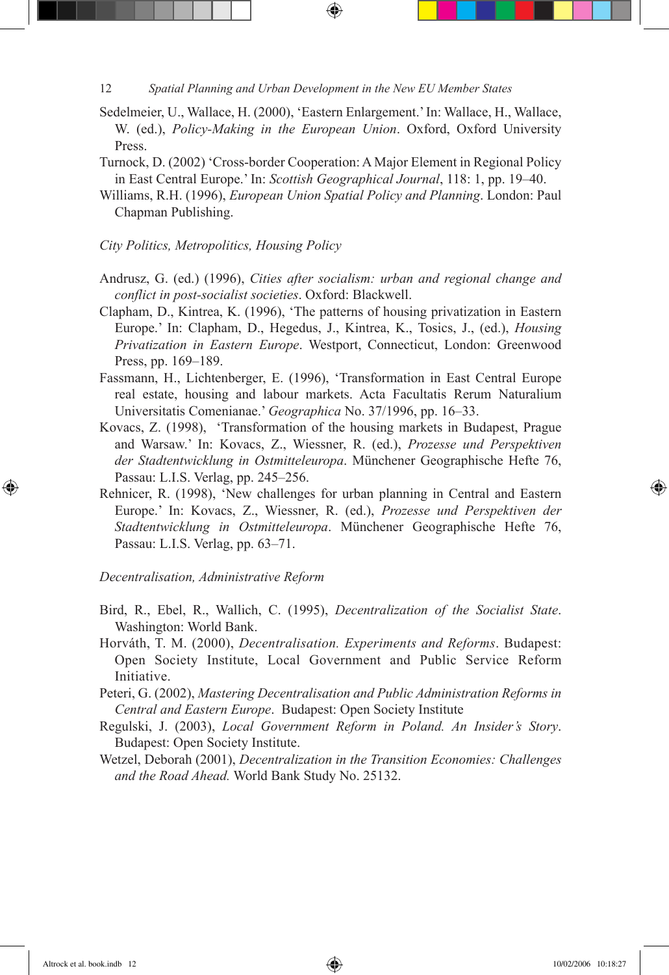- Sedelmeier, U., Wallace, H. (2000), 'Eastern Enlargement.' In: Wallace, H., Wallace, W. (ed.), *Policy-Making in the European Union*. Oxford, Oxford University Press.
- Turnock, D. (2002) 'Cross-border Cooperation: A Major Element in Regional Policy in East Central Europe.' In: *Scottish Geographical Journal*, 118: 1, pp. 19–40.
- Williams, R.H. (1996), *European Union Spatial Policy and Planning*. London: Paul Chapman Publishing.

#### *City Politics, Metropolitics, Housing Policy*

- Andrusz, G. (ed.) (1996), *Cities after socialism: urban and regional change and conflict in post-socialist societies*. Oxford: Blackwell.
- Clapham, D., Kintrea, K. (1996), 'The patterns of housing privatization in Eastern Europe.' In: Clapham, D., Hegedus, J., Kintrea, K., Tosics, J., (ed.), *Housing Privatization in Eastern Europe*. Westport, Connecticut, London: Greenwood Press, pp. 169–189.
- Fassmann, H., Lichtenberger, E. (1996), 'Transformation in East Central Europe real estate, housing and labour markets. Acta Facultatis Rerum Naturalium Universitatis Comenianae.' *Geographica* No. 37/1996, pp. 16–33.
- Kovacs, Z. (1998), 'Transformation of the housing markets in Budapest, Prague and Warsaw.' In: Kovacs, Z., Wiessner, R. (ed.), *Prozesse und Perspektiven der Stadtentwicklung in Ostmitteleuropa*. Münchener Geographische Hefte 76, Passau: L.I.S. Verlag, pp. 245–256.
- Rehnicer, R. (1998), 'New challenges for urban planning in Central and Eastern Europe.' In: Kovacs, Z., Wiessner, R. (ed.), *Prozesse und Perspektiven der Stadtentwicklung in Ostmitteleuropa*. Münchener Geographische Hefte 76, Passau: L.I.S. Verlag, pp. 63–71.

#### *Decentralisation, Administrative Reform*

- Bird, R., Ebel, R., Wallich, C. (1995), *Decentralization of the Socialist State*. Washington: World Bank.
- Horváth, T. M. (2000), *Decentralisation. Experiments and Reforms*. Budapest: Open Society Institute, Local Government and Public Service Reform Initiative.
- Peteri, G. (2002), *Mastering Decentralisation and Public Administration Reforms in Central and Eastern Europe*. Budapest: Open Society Institute
- Regulski, J. (2003), *Local Government Reform in Poland. An Insider's Story*. Budapest: Open Society Institute.
- Wetzel, Deborah (2001), *Decentralization in the Transition Economies: Challenges and the Road Ahead.* World Bank Study No. 25132.

⊕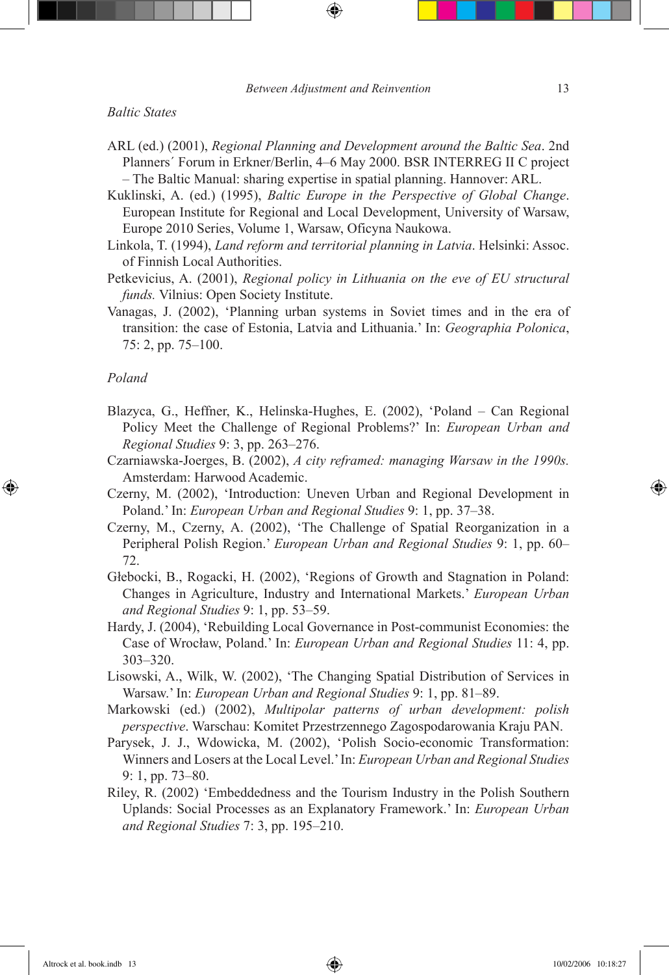#### *Baltic States*

ARL (ed.) (2001), *Regional Planning and Development around the Baltic Sea*. 2nd Planners´ Forum in Erkner/Berlin, 4–6 May 2000. BSR INTERREG II C project – The Baltic Manual: sharing expertise in spatial planning. Hannover: ARL.

Kuklinski, A. (ed.) (1995), *Baltic Europe in the Perspective of Global Change*. European Institute for Regional and Local Development, University of Warsaw, Europe 2010 Series, Volume 1, Warsaw, Oficyna Naukowa.

- Linkola, T. (1994), *Land reform and territorial planning in Latvia*. Helsinki: Assoc. of Finnish Local Authorities.
- Petkevicius, A. (2001), *Regional policy in Lithuania on the eve of EU structural funds.* Vilnius: Open Society Institute.
- Vanagas, J. (2002), 'Planning urban systems in Soviet times and in the era of transition: the case of Estonia, Latvia and Lithuania.' In: *Geographia Polonica*, 75: 2, pp. 75–100.

#### *Poland*

⊕

- Blazyca, G., Heffner, K., Helinska-Hughes, E. (2002), 'Poland Can Regional Policy Meet the Challenge of Regional Problems?' In: *European Urban and Regional Studies* 9: 3, pp. 263–276.
- Czarniawska-Joerges, B. (2002), *A city reframed: managing Warsaw in the 1990s.* Amsterdam: Harwood Academic.
- Czerny, M. (2002), 'Introduction: Uneven Urban and Regional Development in Poland.' In: *European Urban and Regional Studies* 9: 1, pp. 37–38.
- Czerny, M., Czerny, A. (2002), 'The Challenge of Spatial Reorganization in a Peripheral Polish Region.' *European Urban and Regional Studies* 9: 1, pp. 60– 72.
- Głebocki, B., Rogacki, H. (2002), 'Regions of Growth and Stagnation in Poland: Changes in Agriculture, Industry and International Markets.' *European Urban and Regional Studies* 9: 1, pp. 53–59.
- Hardy, J. (2004), 'Rebuilding Local Governance in Post-communist Economies: the Case of Wrocław, Poland.' In: *European Urban and Regional Studies* 11: 4, pp. 303–320.
- Lisowski, A., Wilk, W. (2002), 'The Changing Spatial Distribution of Services in Warsaw.' In: *European Urban and Regional Studies* 9: 1, pp. 81–89.
- Markowski (ed.) (2002), *Multipolar patterns of urban development: polish perspective*. Warschau: Komitet Przestrzennego Zagospodarowania Kraju PAN.
- Parysek, J. J., Wdowicka, M. (2002), 'Polish Socio-economic Transformation: Winners and Losers at the Local Level.' In: *European Urban and Regional Studies*  9: 1, pp. 73–80.
- Riley, R. (2002) 'Embeddedness and the Tourism Industry in the Polish Southern Uplands: Social Processes as an Explanatory Framework.' In: *European Urban and Regional Studies* 7: 3, pp. 195–210.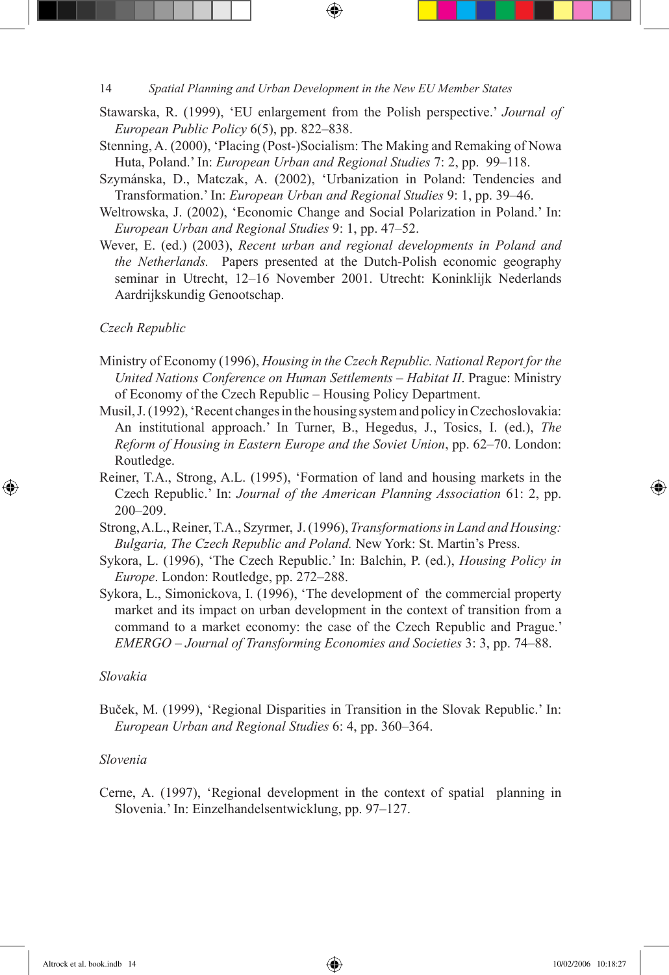- Stawarska, R. (1999), 'EU enlargement from the Polish perspective.' *Journal of European Public Policy* 6(5), pp. 822–838.
- Stenning, A. (2000), 'Placing (Post-)Socialism: The Making and Remaking of Nowa Huta, Poland.' In: *European Urban and Regional Studies* 7: 2, pp. 99–118.
- Szymánska, D., Matczak, A. (2002), 'Urbanization in Poland: Tendencies and Transformation.' In: *European Urban and Regional Studies* 9: 1, pp. 39–46.
- Weltrowska, J. (2002), 'Economic Change and Social Polarization in Poland.' In: *European Urban and Regional Studies* 9: 1, pp. 47–52.
- Wever, E. (ed.) (2003), *Recent urban and regional developments in Poland and the Netherlands.* Papers presented at the Dutch-Polish economic geography seminar in Utrecht, 12–16 November 2001. Utrecht: Koninklijk Nederlands Aardrijkskundig Genootschap.

#### *Czech Republic*

- Ministry of Economy (1996), *Housing in the Czech Republic. National Report for the United Nations Conference on Human Settlements – Habitat II*. Prague: Ministry of Economy of the Czech Republic – Housing Policy Department.
- Musil, J. (1992), 'Recent changes in the housing system and policy in Czechoslovakia: An institutional approach.' In Turner, B., Hegedus, J., Tosics, I. (ed.), *The Reform of Housing in Eastern Europe and the Soviet Union*, pp. 62–70. London: Routledge.
- Reiner, T.A., Strong, A.L. (1995), 'Formation of land and housing markets in the Czech Republic.' In: *Journal of the American Planning Association* 61: 2, pp. 200–209.
- Strong, A.L., Reiner, T.A., Szyrmer, J. (1996), *Transformations in Land and Housing: Bulgaria, The Czech Republic and Poland.* New York: St. Martin's Press.
- Sykora, L. (1996), 'The Czech Republic.' In: Balchin, P. (ed.), *Housing Policy in Europe*. London: Routledge, pp. 272–288.
- Sykora, L., Simonickova, I. (1996), 'The development of the commercial property market and its impact on urban development in the context of transition from a command to a market economy: the case of the Czech Republic and Prague.' *EMERGO – Journal of Transforming Economies and Societies* 3: 3, pp. 74–88.

#### *Slovakia*

⊕

Buček, M. (1999), 'Regional Disparities in Transition in the Slovak Republic.' In: *European Urban and Regional Studies* 6: 4, pp. 360–364.

#### *Slovenia*

Cerne, A. (1997), 'Regional development in the context of spatial planning in Slovenia.' In: Einzelhandelsentwicklung, pp. 97–127.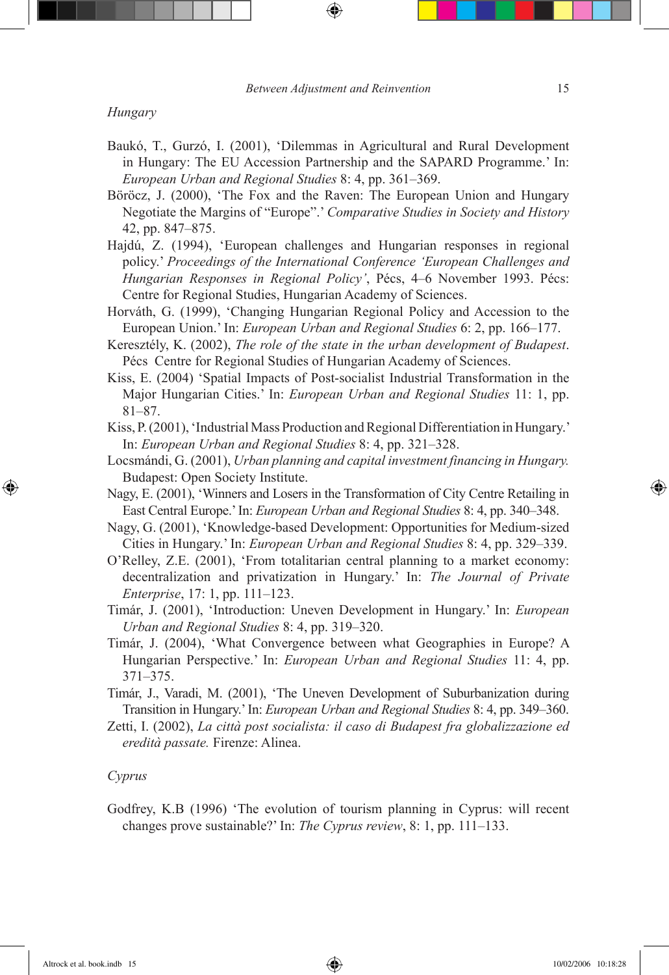*Hungary*

- Baukó, T., Gurzó, I. (2001), 'Dilemmas in Agricultural and Rural Development in Hungary: The EU Accession Partnership and the SAPARD Programme.' In: *European Urban and Regional Studies* 8: 4, pp. 361–369.
- Böröcz, J. (2000), 'The Fox and the Raven: The European Union and Hungary Negotiate the Margins of "Europe".' *Comparative Studies in Society and History*  42, pp. 847–875.
- Hajdú, Z. (1994), 'European challenges and Hungarian responses in regional policy.' *Proceedings of the International Conference 'European Challenges and Hungarian Responses in Regional Policy'*, Pécs, 4–6 November 1993. Pécs: Centre for Regional Studies, Hungarian Academy of Sciences.
- Horváth, G. (1999), 'Changing Hungarian Regional Policy and Accession to the European Union.' In: *European Urban and Regional Studies* 6: 2, pp. 166–177.
- Keresztély, K. (2002), *The role of the state in the urban development of Budapest*. Pécs Centre for Regional Studies of Hungarian Academy of Sciences.
- Kiss, E. (2004) 'Spatial Impacts of Post-socialist Industrial Transformation in the Major Hungarian Cities.' In: *European Urban and Regional Studies* 11: 1, pp. 81–87.
- Kiss, P. (2001), 'Industrial Mass Production and Regional Differentiation in Hungary.' In: *European Urban and Regional Studies* 8: 4, pp. 321–328.
- Locsmándi, G. (2001), *Urban planning and capital investment financing in Hungary.*  Budapest: Open Society Institute.
- Nagy, E. (2001), 'Winners and Losers in the Transformation of City Centre Retailing in East Central Europe.' In: *European Urban and Regional Studies* 8: 4, pp. 340–348.
- Nagy, G. (2001), 'Knowledge-based Development: Opportunities for Medium-sized Cities in Hungary.' In: *European Urban and Regional Studies* 8: 4, pp. 329–339.
- O'Relley, Z.E. (2001), 'From totalitarian central planning to a market economy: decentralization and privatization in Hungary.' In: *The Journal of Private Enterprise*, 17: 1, pp. 111–123.
- Timár, J. (2001), 'Introduction: Uneven Development in Hungary.' In: *European Urban and Regional Studies* 8: 4, pp. 319–320.
- Timár, J. (2004), 'What Convergence between what Geographies in Europe? A Hungarian Perspective.' In: *European Urban and Regional Studies* 11: 4, pp. 371–375.

Timár, J., Varadi, M. (2001), 'The Uneven Development of Suburbanization during Transition in Hungary.' In: *European Urban and Regional Studies* 8: 4, pp. 349–360.

Zetti, I. (2002), *La città post socialista: il caso di Budapest fra globalizzazione ed eredità passate.* Firenze: Alinea.

#### *Cyprus*

◈

Godfrey, K.B (1996) 'The evolution of tourism planning in Cyprus: will recent changes prove sustainable?' In: *The Cyprus review*, 8: 1, pp. 111–133.